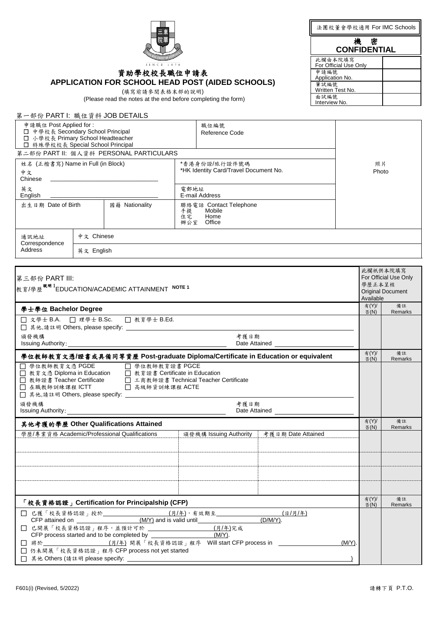

## 資助學校校長職位申請表 **APPLICATION FOR SCHOOL HEAD POST (AIDED SCHOOLS)**

(填寫前請參閱表格末部的說明)

(Please read the notes at the end before completing the form)

### 第一部份 PART I: 職位資料 JOB DETAILS

中學校長 Secondary School Principal

申請職位 Post Applied for :

| □ 小學校長 Primary School Headteacher<br>□ 特殊學校校長 Special School Principal                                                                       |                                             |                                                                              |                                                                                              |                        |                     |                                                               |  |
|----------------------------------------------------------------------------------------------------------------------------------------------|---------------------------------------------|------------------------------------------------------------------------------|----------------------------------------------------------------------------------------------|------------------------|---------------------|---------------------------------------------------------------|--|
|                                                                                                                                              |                                             | 第二部份 PART II: 個人資料 PERSONAL PARTICULARS                                      |                                                                                              |                        |                     |                                                               |  |
| 姓名 (正楷書寫) Name in Full (in Block)<br>中文<br>Chinese                                                                                           |                                             |                                                                              | *香港身份證/旅行證件號碼<br>*HK Identity Card/Travel Document No.                                       |                        |                     | 照片<br>Photo                                                   |  |
| 英文<br>English                                                                                                                                |                                             |                                                                              | 電郵地址<br>E-mail Address                                                                       |                        |                     |                                                               |  |
| 出生日期 Date of Birth                                                                                                                           |                                             | 國籍 Nationality                                                               | 聯絡電話 Contact Telephone<br>手提<br>Mobile<br>Home<br>住宅<br>辦公室 Office                           |                        |                     |                                                               |  |
| 通訊地址                                                                                                                                         | 中文 Chinese                                  |                                                                              |                                                                                              |                        |                     |                                                               |  |
| Correspondence<br>Address                                                                                                                    | 英文 English                                  |                                                                              |                                                                                              |                        |                     |                                                               |  |
|                                                                                                                                              |                                             |                                                                              |                                                                                              |                        |                     |                                                               |  |
| 第三部份 PART III:                                                                                                                               |                                             | 教育/學歷 <sup>說明 1</sup> EDUCATION/ACADEMIC ATTAINMENT NOTE 1                   |                                                                                              |                        | 學歷正本呈核<br>Available | 此欄祇供本院填寫<br>For Official Use Only<br><b>Original Document</b> |  |
| 學士學位 Bachelor Degree                                                                                                                         |                                             |                                                                              |                                                                                              |                        | 有(Y)/<br>否(N)       | 備註<br><b>Remarks</b>                                          |  |
| □ 文學士 B.A.                                                                                                                                   | □ 理學士 B.Sc.                                 | □ 教育學士 B.Ed.                                                                 |                                                                                              |                        |                     |                                                               |  |
| 頒發機構<br><b>Issuing Authority:</b>                                                                                                            |                                             |                                                                              | 考獲日期<br>Date Attained                                                                        |                        |                     |                                                               |  |
|                                                                                                                                              |                                             |                                                                              | 學位教師教育文憑/證書或具備同等資歷 Post-graduate Diploma/Certificate in Education or equivalent              |                        | 有(Y)/<br>否(N)       | 備註<br>Remarks                                                 |  |
| □ 學位教師教育文憑 PGDE<br>□ 教育文憑 Diploma in Education<br>□ 教師證書 Teacher Certificate<br>□ 在職教師訓練課程 ICTT<br>□ 其他,請註明 Others, please specify: ________ |                                             | □ 學位教師教育證書 PGCE<br>□ 高級師資訓練課程 ACTE                                           | □ 教育證書 Certificate in Education<br>□ 工商教師證書 Technical Teacher Certificate                    |                        |                     |                                                               |  |
| 頒發機構<br>Issuing Authority:                                                                                                                   | 考獲日期<br>Date Attained <b>Exercise State</b> |                                                                              |                                                                                              |                        |                     |                                                               |  |
|                                                                                                                                              |                                             | 其他考獲的學歷 Other Qualifications Attained                                        |                                                                                              |                        | 有(Y)/<br>否(N)       | 備註<br>Remarks                                                 |  |
| 學歷/專業資格 Academic/Professional Qualifications                                                                                                 |                                             |                                                                              | 頒發機構 Issuing Authority                                                                       | 考獲日期 Date Attained     |                     |                                                               |  |
|                                                                                                                                              |                                             |                                                                              |                                                                                              |                        |                     |                                                               |  |
|                                                                                                                                              |                                             |                                                                              |                                                                                              |                        |                     |                                                               |  |
|                                                                                                                                              |                                             |                                                                              |                                                                                              |                        |                     |                                                               |  |
|                                                                                                                                              |                                             | 「校長資格認證」Certification for Principalship (CFP)                                |                                                                                              |                        | 有(Y)/<br>否(N)       | 備註<br>Remarks                                                 |  |
| □ 將於                                                                                                                                         |                                             | $\Box$ 已開展「校長資格認證」程序,並預計可於<br><br>CFP process started and to be completed by | (月/年),有效期至 ________<br>(月/年)完成<br>$(M/Y)$ .<br>(1944) 開展「校長資格認證」程序 Will start CFP process in | (日/月/年)<br>$(D/M/Y)$ . | (M/Y)               |                                                               |  |
| □ 其他 Others (請註明 please specify: _                                                                                                           |                                             | □ 仍未開展「校長資格認證」程序 CFP process not yet started                                 |                                                                                              |                        |                     |                                                               |  |

職位編號 Reference Code

機密 **CONFIDENTIAL** 此欄由本院填寫 For Official Use Only 申請編號 Application No. 筆試編號 Written Test No.

面試編號 Interview No.

| 法團校董會學校適用 For IMC Schools |  |
|---------------------------|--|
|                           |  |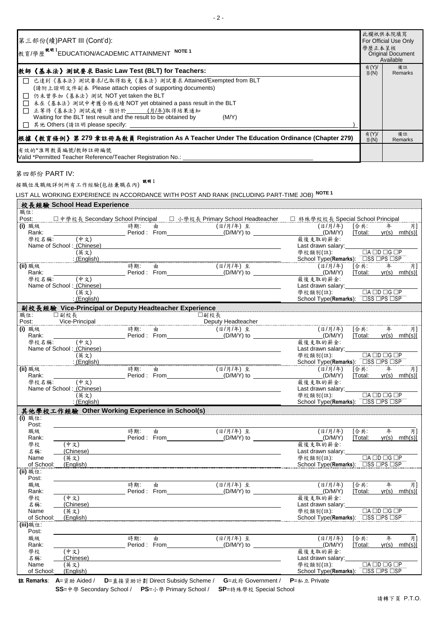| 第三部份(續)PART III (Cont'd):          |                   |                                                                                                      |                                                                                               |                                               |                 | 此欄祇供本院填寫<br>For Official Use Only     |
|------------------------------------|-------------------|------------------------------------------------------------------------------------------------------|-----------------------------------------------------------------------------------------------|-----------------------------------------------|-----------------|---------------------------------------|
|                                    |                   |                                                                                                      |                                                                                               |                                               |                 | 學歷正本呈核                                |
|                                    |                   | 教育/學歷 <sup>說明 1</sup> EDUCATION/ACADEMIC ATTAINMENT <sup>NOTE 1</sup>                                |                                                                                               |                                               |                 | <b>Original Document</b><br>Available |
|                                    |                   | 教師《基本法》測試要求 Basic Law Test (BLT) for Teachers:                                                       |                                                                                               |                                               | 有(Y)/<br>否(N)   | 備註<br>Remarks                         |
|                                    |                   | □ 已達到《基本法》測試要求/已取得豁免《基本法》測試要求 Attained/Exempted from BLT                                             |                                                                                               |                                               |                 |                                       |
|                                    |                   | (請附上證明文件副本 Please attach copies of supporting documents)                                             |                                                                                               |                                               |                 |                                       |
|                                    |                   | □ 仍未曾参加《基本法》測試 NOT yet taken the BLT<br>□ 未在《基本法》測試中考獲合格成績 NOT yet obtained a pass result in the BLT |                                                                                               |                                               |                 |                                       |
|                                    |                   | □ 正等待《基本法》測試成績,預計於 ____ (月/年)取得結果通知                                                                  |                                                                                               |                                               |                 |                                       |
|                                    |                   | Waiting for the BLT test result and the result to be obtained by                                     | (M/Y)                                                                                         |                                               |                 |                                       |
| □ 其他 Others (請註明 please specify:   |                   |                                                                                                      |                                                                                               |                                               | 有(Y)/           | 備註                                    |
|                                    |                   |                                                                                                      | 根據《教育條例》第 279 章註冊為教員 Registration As A Teacher Under The Education Ordinance (Chapter 279)    |                                               | 否(N)            | Remarks                               |
| 有效的*准用教員編號/教師註冊編號                  |                   | Valid *Permitted Teacher Reference/Teacher Registration No.: ___________________                     |                                                                                               |                                               |                 |                                       |
|                                    |                   |                                                                                                      |                                                                                               |                                               |                 |                                       |
| 第四部份 PART IV:                      |                   | 說明 1                                                                                                 |                                                                                               |                                               |                 |                                       |
| 按職位及職級詳例所有工作經驗(包括兼職在內)             |                   |                                                                                                      |                                                                                               |                                               |                 |                                       |
|                                    |                   |                                                                                                      | LIST ALL WORKING EXPERIENCE IN ACCORDANCE WITH POST AND RANK (INCLUDING PART-TIME JOB) NOTE 1 |                                               |                 |                                       |
| 校長經驗 School Head Experience<br>職位: |                   |                                                                                                      |                                                                                               |                                               |                 |                                       |
| Post:                              |                   |                                                                                                      |                                                                                               |                                               |                 |                                       |
| (i) 職級<br>Rank:                    |                   | 時期:<br>由                                                                                             | $(B/I)$ 至<br>Period: From (D/M/Y) to                                                          | (日/月/年)<br>(D/M/Y)                            | [合共]<br>[Total: | 年<br>月]<br>$yr(s)$ mth $(s)$ ]        |
| 學校名稱:                              | (中文)              |                                                                                                      |                                                                                               | 最後支取的薪金.                                      |                 |                                       |
| Name of School: (Chinese)          | (英文)              |                                                                                                      |                                                                                               | Last drawn salary:<br>學校類別(註):                |                 | $\boxed{\Box A \Box D \Box G} \Box P$ |
|                                    | : (English)       |                                                                                                      |                                                                                               | School Type(Remarks): USS UPS USP             |                 |                                       |
| (ii) 職級<br>Rank:                   |                   | 時期:<br>由                                                                                             | (日/月/年) 至<br>Period : From (D/M/Y) to                                                         | (日/月/年)<br>(D/M/Y)                            | [合共]<br>[Total: | 年<br>月]<br>$yr(s)$ mth(s)]            |
| 學校名稱:                              | (中文)              |                                                                                                      |                                                                                               | 最後支取的薪金.                                      |                 |                                       |
| Name of School: (Chinese)          | (英文)              |                                                                                                      |                                                                                               | Last drawn salary:<br>學校類別(註):                |                 | $\Box A \Box D \Box G \Box P$         |
|                                    | $:$ (English)     |                                                                                                      |                                                                                               | School Type(Remarks): "LISS LIPS LISP"        |                 |                                       |
| □副校長<br>職位.                        |                   | 副校長經驗 Vice-Principal or Deputy Headteacher Experience                                                | □副校長                                                                                          |                                               |                 |                                       |
| Post:                              | Vice-Principal    |                                                                                                      |                                                                                               |                                               |                 |                                       |
| (i) 職級<br>Rank:                    |                   | 時期:<br>由                                                                                             | (日/月/年) 至<br>Period: From (D/M/Y) to _____                                                    | (日/月/年)<br>(D/M/Y)                            | [合共:            | 年<br>月1<br>[Total: $yr(s)$ mth(s)]    |
| 學校名稱:                              | (中文)              |                                                                                                      |                                                                                               | 最後支取的薪金:                                      |                 |                                       |
| Name of School: (Chinese)          | (英文)              |                                                                                                      |                                                                                               | Last drawn salary:<br>學校類別(註):                |                 | $\Box A \Box D \Box G \Box P$         |
|                                    | : (English)       |                                                                                                      |                                                                                               | School Type(Remarks): CSS OPS OSP             |                 |                                       |
| (ii) 職級<br>Rank:                   |                   | 時期:<br>由<br>Period: From                                                                             | (日/月/年)至<br>$(D/M/Y)$ to                                                                      | (日/月/年)<br>(D/M/Y)                            | [合共]<br>[Total: | 年<br>月]<br>$vr(s)$ mth $(s)$ ]        |
| 學校名稱:                              | (中文)              |                                                                                                      |                                                                                               | 最後支取的薪金:                                      |                 |                                       |
| Name of School: (Chinese)          | (英文)              |                                                                                                      |                                                                                               | Last drawn salary:<br>學校類別(註):                |                 | $\Box A \Box D \Box G \Box P$         |
|                                    | : (English)       |                                                                                                      |                                                                                               | School Type(Remarks):                         |                 | $\Box$ SS $\Box$ PS $\Box$ SP         |
|                                    |                   | 其他學校工作經驗 Other Working Experience in School(s)                                                       |                                                                                               |                                               |                 |                                       |
| (i) 職位:<br>Post:                   |                   |                                                                                                      |                                                                                               |                                               |                 |                                       |
| 職級                                 |                   | 時期:<br>由                                                                                             | (日/月/年)至                                                                                      | (日/月/年)<br>(D/M/Y)                            | [合共:            | 年<br>月                                |
| Rank:<br>學校                        | (中文)              | Period: From                                                                                         | $(D/M/Y)$ to                                                                                  | 最後支取的薪金:                                      | [Total:         | $yr(s)$ mth $(s)$ ]                   |
| 名稱:                                | (Chinese)         |                                                                                                      |                                                                                               | Last drawn salary:                            |                 |                                       |
| Name<br>of School:                 | (英文)<br>(English) |                                                                                                      |                                                                                               | 學校類別(註):<br>School Type(Remarks): USS UPS USP |                 | $\Box A \Box D \Box G \Box P$         |
| (ii) 職位:                           |                   |                                                                                                      |                                                                                               |                                               |                 |                                       |
| Post:<br>職級                        |                   | 時期:<br>由                                                                                             | (日/月/年)至                                                                                      | (日/月/年)                                       | [合共:            | 年<br>月1                               |
| Rank:                              |                   | Period: From                                                                                         | (D/M/Y) to                                                                                    | (D/M/Y)                                       | [Total:         | $yr(s)$ mth(s)]                       |
| 學校<br>名稱:                          | (中文)<br>(Chinese) |                                                                                                      |                                                                                               | 最後支取的薪金:<br>Last drawn salary:                |                 |                                       |
| Name                               | (英文)              |                                                                                                      |                                                                                               | 學校類別(註):                                      |                 | $\Box A \Box D \Box G \Box P$         |
| of School:<br>(iii) 職位:            | (English)         |                                                                                                      |                                                                                               | School Type(Remarks): "LISS LIPS LISP"        |                 |                                       |
| Post:                              |                   |                                                                                                      |                                                                                               |                                               |                 |                                       |

| PUSI.      |           |                |              |                        |         |                               |        |
|------------|-----------|----------------|--------------|------------------------|---------|-------------------------------|--------|
| 職級         |           | 時期:            | 【日/月/年)至     | (日/月/年)                | 「合共」    |                               |        |
| Rank:      |           | Period<br>From | $(D/M/Y)$ to | (D/M/Y)                | 'Total: | yr(s)                         | mth(s) |
| 學校         | 「中文」      |                |              | 最後支取的薪金.               |         |                               |        |
| 名稱:        | (Chinese) |                |              | Last drawn salary:     |         |                               |        |
| Name       | 【英文】      |                |              | 學校類別(註):               |         | $\Box A \Box D \Box G \Box P$ |        |
| of School: | 'English) |                |              | School Type (Remarks): | ⊐SS     | <br>$\Box$ PS $\Box$ SP       |        |

註 **Remarks**: **A**=資助 Aided / **D**=直接資助計劃 Direct Subsidy Scheme / **G**=政府 Government / **P**=私立 Private **SS**=中學 Secondary School / **PS**=小學 Primary School / **SP**=特殊學校 Special School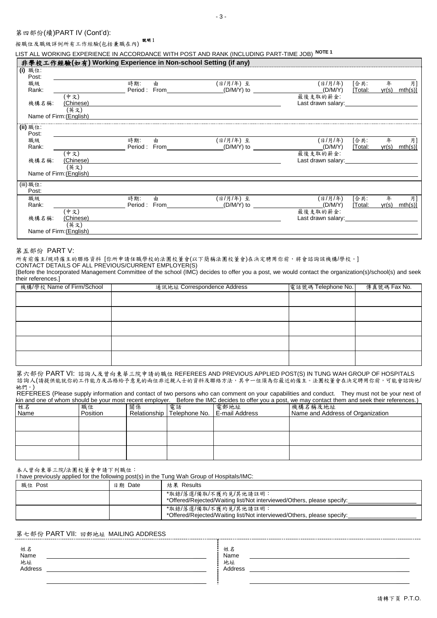#### - 3 -

#### 第四部份(續)PART IV (Cont'd):

## 按職位及職級詳例所有工作經驗(包括兼職在內) <sup>說明 1</sup>

LIST ALL WORKING EXPERIENCE IN ACCORDANCE WITH POST AND RANK (INCLUDING PART-TIME JOB) **NOTE 1**

|           |                         |              |      | 非學校工作經驗(如有) Working Experience in Non-school Setting (if any) |                    |         |       |            |
|-----------|-------------------------|--------------|------|---------------------------------------------------------------|--------------------|---------|-------|------------|
| (i) 職位:   |                         |              |      |                                                               |                    |         |       |            |
| Post:     |                         |              |      |                                                               |                    |         |       |            |
| 職級        |                         | 時期:          | 由    | (日/月/年) 至                                                     | (日/月/年)            | 「合共」    | 年     | 月]         |
| Rank:     |                         | Period: From |      | (D/M/Y) to                                                    | (D/M/Y)            | [Total: | vr(s) | mth(s)     |
|           | (中文)                    |              |      |                                                               | 最後支取的薪金:           |         |       |            |
| 機構名稱:     | (Chinese)               |              |      |                                                               | Last drawn salary: |         |       |            |
|           | (英文)                    |              |      |                                                               |                    |         |       |            |
|           | Name of Firm: (English) |              |      |                                                               |                    |         |       |            |
| (ii) 職位:  |                         |              |      |                                                               |                    |         |       |            |
| Post:     |                         |              |      |                                                               |                    |         |       |            |
| 職級        |                         | 時期:          | 由    | (日/月/年) 至                                                     | (日/月/年)            | [合共]    | 年     | 月]         |
| Rank:     |                         |              |      | Period: From (D/M/Y) to                                       | (D/M/Y)            | [Total: | yr(s) | $mth(s)$ ] |
|           | (中文)                    |              |      |                                                               | 最後支取的薪金:           |         |       |            |
| 機構名稱:     | (Chinese)               |              |      |                                                               | Last drawn salary: |         |       |            |
|           | (英文)                    |              |      |                                                               |                    |         |       |            |
|           | Name of Firm: (English) |              |      |                                                               |                    |         |       |            |
| (iii) 職位: |                         |              |      |                                                               |                    |         |       |            |
| Post:     |                         |              |      |                                                               |                    |         |       |            |
| 職級        |                         | 時期:          | 由    | (日/月/年) 至                                                     | (日/月/年)            | [合共]    | 年     | 月]         |
| Rank:     |                         | Period :     | From | $(D/M/Y)$ to                                                  | (D/M/Y)            | [Total: | yr(s) | $mth(s)$ ] |
|           | (中文)                    |              |      |                                                               | 最後支取的薪金:           |         |       |            |
| 機構名稱:     | (Chinese)               |              |      |                                                               | Last drawn salary: |         |       |            |
|           | (英文)                    |              |      |                                                               |                    |         |       |            |
|           | Name of Firm: (English) |              |      |                                                               |                    |         |       |            |
|           |                         |              |      |                                                               |                    |         |       |            |

#### 第五部份 PART V:

所有前僱主/現時僱主的聯絡資料 [你所申請任職學校的法團校董會(以下簡稱法團校董會)在決定騁用你前,將會諮詢該機構/學校。]

CONTACT DETAILS OF ALL PREVIOUS/CURRENT EMPLOYER(S)

[Before the Incorporated Management Committee of the school (IMC) decides to offer you a post, we would contact the organization(s)/school(s) and seek their references.]

| 機構/學校 Name of Firm/School | 通訊地址 Correspondence Address | 電話號碼 Telephone No. | 傳真號碼 Fax No. |
|---------------------------|-----------------------------|--------------------|--------------|
|                           |                             |                    |              |
|                           |                             |                    |              |
|                           |                             |                    |              |
|                           |                             |                    |              |
|                           |                             |                    |              |

| 第六部份 PART VI: 諮詢人及曾向東華三院申請的職位 REFEREES AND PREVIOUS APPLIED POST(S) IN TUNG WAH GROUP OF HOSPITALS |  |
|----------------------------------------------------------------------------------------------------|--|
| "諮詢人(請提供能就你的工作能力及品格給予意見的兩位非近親人士的資料及聯絡方法,其中一位須為你最近的僱主。法團校董會在決定聘用你前,可能會諮詢他/                          |  |
| 她們。                                                                                                |  |

REFEREES (Please supply information and contact of two persons who can comment on your capabilities and conduct. They must not be your next of kin and one of whom should be your most recent employer. Before the IMC decides to offer you a post, we may contact them and seek their references.)

| 姓名<br>Name | 職位<br>Position |  | 關係   電話   電話   電郵地址  <br>  Relationship   Telephone No.   E-mail Address | 機構名稱及地址<br>Name and Address of Organization |
|------------|----------------|--|--------------------------------------------------------------------------|---------------------------------------------|
|            |                |  |                                                                          |                                             |
|            |                |  |                                                                          |                                             |
|            |                |  |                                                                          |                                             |

本人曾向東華三院/法團校董會申請下列職位:

I have previously applied for the following post(s) in the Tung Wah Group of Hospitals/IMC:

| 職位 Post | 日期 Date | 結果 Results                                                                                      |
|---------|---------|-------------------------------------------------------------------------------------------------|
|         |         | *取錄/落選/備取/不獲約見/其他請註明:<br>*Offered/Rejected/Waiting list/Not interviewed/Others, please specify: |
|         |         | *取錄/落選/備取/不獲約見/其他請註明:<br>*Offered/Rejected/Waiting list/Not interviewed/Others, please specify: |

### 第七部份 PART VII: 回郵地址 MAILING ADDRESS

| 姓名<br>Name<br>地址<br>Address | 姓名<br>Name    |
|-----------------------------|---------------|
|                             | 地址<br>Address |
|                             |               |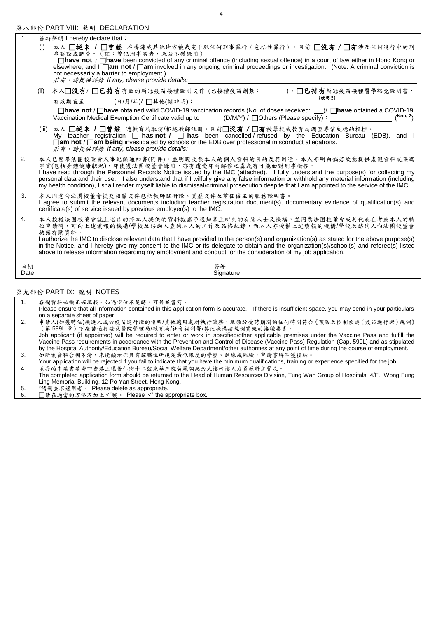### 第八部份 PART VIII: 聲明 DECLARATION

| 1 <sub>1</sub> | 兹特聲明 I hereby declare that:                                                                                                                                                                                                                                                                                                                                                                                                                                                                                                                        |
|----------------|----------------------------------------------------------------------------------------------------------------------------------------------------------------------------------------------------------------------------------------------------------------------------------------------------------------------------------------------------------------------------------------------------------------------------------------------------------------------------------------------------------------------------------------------------|
|                | 本人 □從未 / □曾經 在香港或其他地方被裁定干犯任何刑事罪行(包括性罪行),目前 □沒有 / □有涉及任何進行中的刑<br>(i)<br>事訴訟或調查。 (註:曾犯刑事案者,未必不獲錄用)<br>I nave not / nave been convicted of any criminal offence (including sexual offence) in a court of law either in Hong Kong or<br>elsewhere, and $\Box$ am not / $\Box$ am involved in any ongoing criminal proceedings or investigation. (Note: A criminal conviction is<br>not necessarily a barrier to employment.)<br>若有, 請提供詳情 If any, please provide details:                                                                              |
|                | 本人□沒有/□已持有有效的新冠疫苗接種證明文件(已接種疫苗劑數: ______)/□已持有新冠疫苗接種醫學豁免證明書,<br>(ii)<br>(說明2)                                                                                                                                                                                                                                                                                                                                                                                                                                                                       |
|                |                                                                                                                                                                                                                                                                                                                                                                                                                                                                                                                                                    |
|                | I <b>nave not</b> / <b>nave</b> obtained valid COVID-19 vaccination records (No. of doses received: __) / <b>nave</b> obtained a COVID-19<br>/Note $21$<br>Vaccination Medical Exemption Certificate valid up to $(D/M/Y) / \Box$ Others (Please specify) :                                                                                                                                                                                                                                                                                        |
|                | (iii) 本人 □從未 1 □曾經 遭教育局取消/拒绝教師註册,目前□没有 / □有被學校或教育局調查專業失德的指控。<br>My teacher registration $\Box$ has not $I \Box$ has been cancelled / refused by the Education Bureau (EDB), and I<br><b>∐am not</b> / <b>∐am being</b> investigated by schools or the EDB over professional misconduct allegations.<br>若有, 請提供詳情 If any, please provide details:                                                                                                                                                                                                   |
| 2.             | 本人已閲畢法團校董會人事紀錄通知書(附件),並明瞭收集本人的個人資料的目的及其用途。本人亦明白倘若故意提供虛假資料或隱瞞<br>事實(包括身體健康狀況),即使獲法團校董會錄用,亦有遭受即時解僱之虞或有可能面對刑事檢控。<br>I have read through the Personnel Records Notice issued by the IMC (attached). I fully understand the purpose(s) for collecting my<br>personal data and their use. I also understand that if I wilfully give any false information or withhold any material information (including<br>my health condition), I shall render myself liable to dismissal/criminal prosecution despite that I am appointed to the service of the IMC. |
| 3.             | 本人同意向法團校董會提交相關文件包括教師註冊證、資歷文件及前任僱主的服務證明書。<br>I agree to submit the relevant documents including teacher registration document(s), documentary evidence of qualification(s) and<br>certificate(s) of service issued by previous employer(s) to the IMC.                                                                                                                                                                                                                                                                                              |
| 4.             | 本人授權法團校董會就上述目的將本人提供的資料披露予通知書上所列的有關人士及機構,並同意法團校董會或其代表在考慮本人的職<br>位申請時,可向上述填報的機構/學校及諮詢人查詢本人的工作及品格紀錄,而本人亦授權上述填報的機構/學校及諮詢人向法團校董會<br>披露有關資料。                                                                                                                                                                                                                                                                                                                                                                                                             |
|                | I authorize the IMC to disclose relevant data that I have provided to the person(s) and organization(s) as stated for the above purpose(s)<br>in the Notice, and I hereby give my consent to the IMC or its delegate to obtain and the organization(s)/school(s) and referee(s) listed<br>above to release information regarding my employment and conduct for the consideration of my job application.                                                                                                                                            |
| 日期<br>Date     | 答署<br>Signature                                                                                                                                                                                                                                                                                                                                                                                                                                                                                                                                    |

#### 第九部份 PART IX: 說明 NOTES

- 1. 各欄資料必須正確填報。如遇空位不足時,可另紙書寫。
- Please ensure that all information contained in this application form is accurate. If there is insufficient space, you may send in your particulars on a separate sheet of paper.
- 2. 申請人(如獲聘任)須進入或於疫苗通行證的指明/其他適用處所執行職務,及須於受聘期間的任何時間符合《預防及控制疾病(疫苗通行證)規例》 (第 599L 章)下疫苗通行證及醫院管理局/教育局/社會福利署/其他機構按規例實施的接種要求。
- Job applicant (if appointed) will be required to enter or work in specified/other applicable premises under the Vaccine Pass and fulfill the Vaccine Pass requirements in accordance with the Prevention and Control of Disease (Vaccine Pass) Regulation (Cap. 599L) and as stipulated by the Hospital Authority/Education Bureau/Social Welfare Department/other authorities at any point of time during the course of employment. 3. 如所填資料含糊不清,未能顯示你具有該職位所規定最低限度的學歷、訓練或經驗,申請書將不獲接納。
- Your application will be rejected if you fail to indicate that you have the minimum qualifications, training or experience specified for the job.
- 4. 填妥的申請書請寄回香港上環普仁街十二號東華三院黃鳳翎紀念大樓四樓人力資源科主管收。
- The completed application form should be returned to the Head of Human Resources Division, Tung Wah Group of Hospitals, 4/F., Wong Fung Ling Memorial Building, 12 Po Yan Street, Hong Kong.
- 5. \*請刪去不適用者。 Please delete as appropriate.
- 6. □請在適當的方格內加上'√'號。 Please '√' the appropriate box.